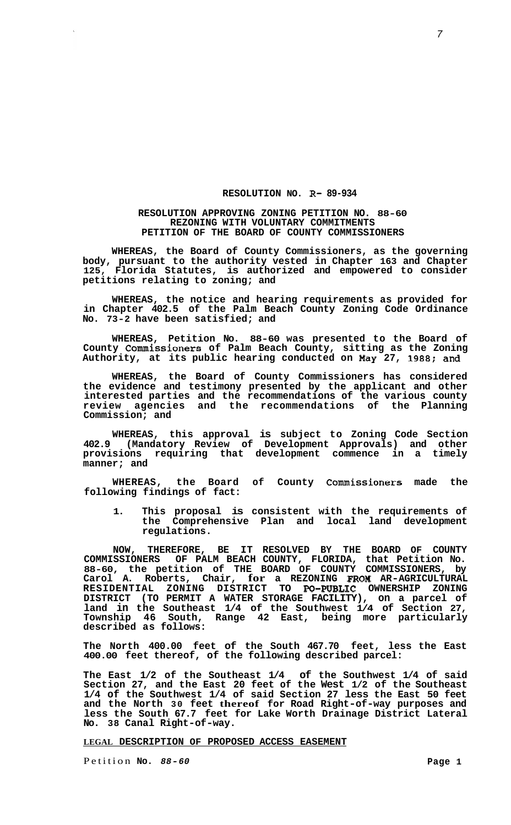## **RESOLUTION NO. R- 89-934**

## **RESOLUTION APPROVING ZONING PETITION NO. 88-60 REZONING WITH VOLUNTARY COMMITMENTS PETITION OF THE BOARD OF COUNTY COMMISSIONERS**

**WHEREAS, the Board of County Commissioners, as the governing body, pursuant to the authority vested in Chapter 163 and Chapter 125, Florida Statutes, is authorized and empowered to consider petitions relating to zoning; and** 

**WHEREAS, the notice and hearing requirements as provided for in Chapter 402.5 of the Palm Beach County Zoning Code Ordinance No. 73-2 have been satisfied; and** 

**WHEREAS, Petition No. 88-60 was presented to the Board of County Commissioners of Palm Beach County, sitting as the Zoning Authority, at its public hearing conducted on May 27, 1988; and** 

**WHEREAS, the Board of County Commissioners has considered the evidence and testimony presented by the applicant and other interested parties and the recommendations of the various county review agencies and the recommendations of the Planning Commission; and** 

**WHEREAS, this approval is subject to Zoning Code Section 402.9 (Mandatory Review of Development Approvals) and other provisions requiring that development commence in a timely manner; and** 

**WHEREAS, the Board of County Commissioners made the following findings of fact:** 

**1. This proposal is consistent with the requirements of the Comprehensive Plan and local land development regulations.** 

**NOW, THEREFORE, BE IT RESOLVED BY THE BOARD OF COUNTY COMMISSIONERS OF PALM BEACH COUNTY, FLORIDA, that Petition No. 88-60, the petition of THE BOARD OF COUNTY COMMISSIONERS, by Carol A. Roberts, Chair, for a REZONING FROM AR-AGRICULTURAL RESIDENTIAL ZONING DISTRICT TO PO-PUBLIC OWNERSHIP ZONING DISTRICT (TO PERMIT A WATER STORAGE FACILITY), on a parcel of land in the Southeast 1/4 of the Southwest 1/4 of Section 27, Township 46 South, Range 42 East, being more particularly described as follows:** 

**The North 400.00 feet of the South 467.70 feet, less the East 400.00 feet thereof, of the following described parcel:** 

**The East 1/2 of the Southeast 1/4 of the Southwest 1/4 of said Section 27, and the East 20 feet of the West 1/2 of the Southeast 1/4 of the Southwest 1/4 of said Section 27 less the East 50 feet and the North 30 feet thereof for Road Right-of-way purposes and less the South 67.7 feet for Lake Worth Drainage District Lateral No. 38 Canal Right-of-way.** 

**LEGAL DESCRIPTION OF PROPOSED ACCESS EASEMENT** 

Petition **No.** *88-60* **Page 1**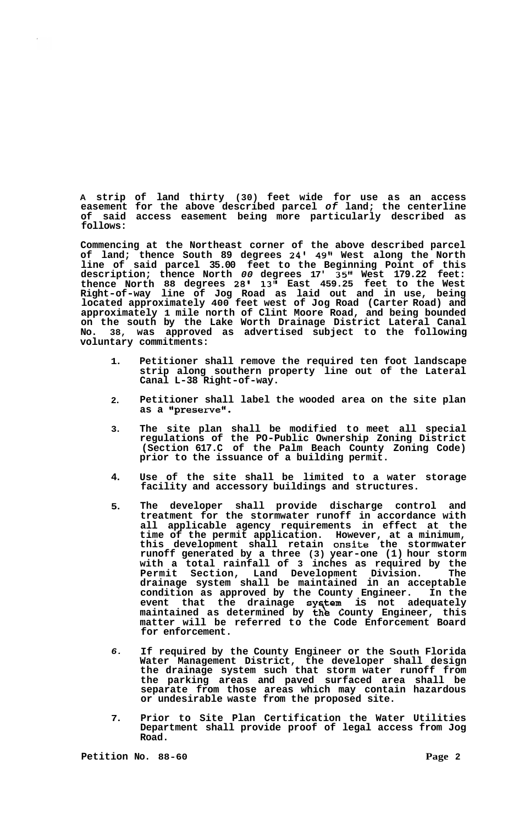**A strip of land thirty (30) feet wide for use as an access easement for the above described parcel** *of* **land; the centerline of said access easement being more particularly described as follows:** 

**Commencing at the Northeast corner of the above described parcel of land; thence South 89 degrees 24' 49" West along the North line of said parcel 35.00 feet to the Beginning Point of this description; thence North** *00* **degrees 17' 35" West 179.22 feet: thence North 88 degrees** *28'* **13" East 459.25 feet to the West Right-of-way line of Jog Road as laid out and in use, being located approximately 400 feet west of Jog Road (Carter Road) and approximately 1 mile north of Clint Moore Road, and being bounded on the south by the Lake Worth Drainage District Lateral Canal No. 38, was approved as advertised subject to the following voluntary commitments:** 

- **1. Petitioner shall remove the required ten foot landscape strip along southern property line out of the Lateral Canal L-38 Right-of-way.**
- **2. Petitioner shall label the wooded area on the site plan**  as a "preserve".
- **3. The site plan shall be modified to meet all special regulations of the PO-Public Ownership Zoning District (Section 617.C of the Palm Beach County Zoning Code) prior to the issuance of a building permit.**
- **4. Use of the site shall be limited to a water storage facility and accessory buildings and structures.**
- **5. The developer shall provide discharge control and treatment for the stormwater runoff in accordance with all applicable agency requirements in effect at the time of the permit application. However, at a minimum, this development shall retain onsite the stormwater runoff generated by a three (3) year-one (1) hour storm with a total rainfall of 3 inches as required by the Permit Section, Land Development Division. The drainage system shall be maintained in an acceptable condition as approved by the County Engineer. In the**  event that the drainage system is not adequately maintained as determined by **the** County Engineer, this **matter will be referred to the Code Enforcement Board for enforcement.**  e County Eng<br>
system is<br>
the County<br>
the Gode Eng
- *6.*  **If required by the County Engineer or the South Florida Water Management District, the developer shall design the drainage system such that storm water runoff from the parking areas and paved surfaced area shall be separate from those areas which may contain hazardous or undesirable waste from the proposed site.**
- **7. Prior to Site Plan Certification the Water Utilities Department shall provide proof of legal access from Jog Road.**